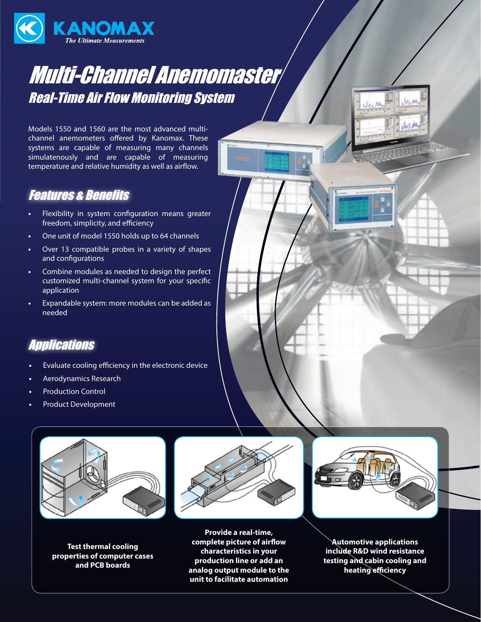

## Multi-Channel Anemomaster Real-Time Air Flow Monitoring System

Models 1550 and 1560 are the most advanced multichannel anemometers offered by Kanomax. These systems are capable of measuring many channels simulatenously and are capable of measuring temperature and relative humidity as well as airflow.

## Features & Benefits

- **•** Flexibility in system configuration means greater freedom, simplicity, and efficiency
- **•** One unit of model 1550 holds up to 64 channels
- **•** Over 13 compatible probes in a variety of shapes and configurations
- **•** Combine modules as needed to design the perfect customized multi-channel system for your specific application
- **•** Expandable system: more modules can be added as needed

## **Applications**

- **•** Evaluate cooling efficiency in the electronic device
- **•** Aerodynamics Research
- **•** Production Control
- **•** Product Development



**Test thermal cooling properties of computer cases and PCB boards**



**Provide a real-time, complete picture of airflow characteristics in your production line or add an analog output module to the unit to facilitate automation**



 $y<sub>b</sub>$ 

**Automotive applications include R&D wind resistance testing and cabin cooling and heating efficiency**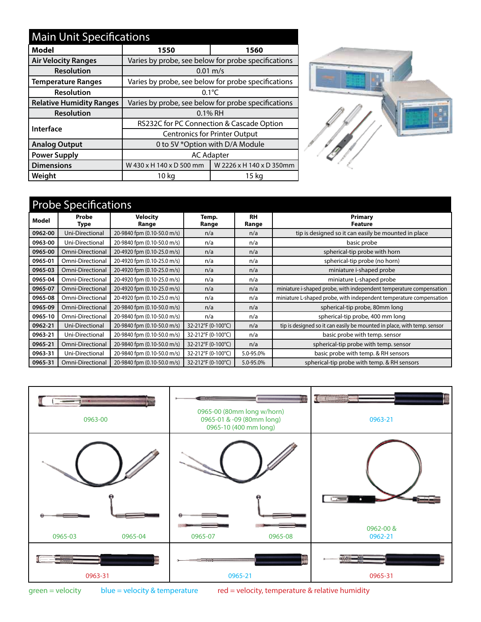| <b>Main Unit Specifications</b> |                                                     |                          |  |  |  |  |  |
|---------------------------------|-----------------------------------------------------|--------------------------|--|--|--|--|--|
| Model                           | 1550                                                | 1560                     |  |  |  |  |  |
| <b>Air Velocity Ranges</b>      | Varies by probe, see below for probe specifications |                          |  |  |  |  |  |
| <b>Resolution</b>               | $0.01 \text{ m/s}$                                  |                          |  |  |  |  |  |
| <b>Temperature Ranges</b>       | Varies by probe, see below for probe specifications |                          |  |  |  |  |  |
| <b>Resolution</b>               | $0.1^{\circ}$ C                                     |                          |  |  |  |  |  |
| <b>Relative Humidity Ranges</b> | Varies by probe, see below for probe specifications |                          |  |  |  |  |  |
| <b>Resolution</b>               | $0.1\%$ RH                                          |                          |  |  |  |  |  |
| Interface                       | RS232C for PC Connection & Cascade Option           |                          |  |  |  |  |  |
|                                 | <b>Centronics for Printer Output</b>                |                          |  |  |  |  |  |
| <b>Analog Output</b>            | 0 to 5V *Option with D/A Module                     |                          |  |  |  |  |  |
| <b>Power Supply</b>             | <b>AC Adapter</b>                                   |                          |  |  |  |  |  |
| <b>Dimensions</b>               | W 430 x H 140 x D 500 mm                            | W 2226 x H 140 x D 350mm |  |  |  |  |  |
| Weight                          | 10 kg                                               | 15 kg                    |  |  |  |  |  |



## Probe Specifications

| Model   | Probe<br>Type    | <b>Velocity</b><br>Range    | Temp.<br>Range     | <b>RH</b><br>Range | Primary<br>Feature                                                      |
|---------|------------------|-----------------------------|--------------------|--------------------|-------------------------------------------------------------------------|
| 0962-00 | Uni-Directional  | 20-9840 fpm (0.10-50.0 m/s) | n/a                | n/a                | tip is designed so it can easily be mounted in place                    |
| 0963-00 | Uni-Directional  | 20-9840 fpm (0.10-50.0 m/s) | n/a                | n/a                | basic probe                                                             |
| 0965-00 | Omni-Directional | 20-4920 fpm (0.10-25.0 m/s) | n/a                | n/a                | spherical-tip probe with horn                                           |
| 0965-01 | Omni-Directional | 20-4920 fpm (0.10-25.0 m/s) | n/a                | n/a                | spherical-tip probe (no horn)                                           |
| 0965-03 | Omni-Directional | 20-4920 fpm (0.10-25.0 m/s) | n/a                | n/a                | miniature i-shaped probe                                                |
| 0965-04 | Omni-Directional | 20-4920 fpm (0.10-25.0 m/s) | n/a                | n/a                | miniature L-shaped probe                                                |
| 0965-07 | Omni-Directional | 20-4920 fpm (0.10-25.0 m/s) | n/a                | n/a                | miniature i-shaped probe, with independent temperature compensation     |
| 0965-08 | Omni-Directional | 20-4920 fpm (0.10-25.0 m/s) | n/a                | n/a                | miniature L-shaped probe, with independent temperature compensation     |
| 0965-09 | Omni-Directional | 20-9840 fpm (0.10-50.0 m/s) | n/a                | n/a                | spherical-tip probe, 80mm long                                          |
| 0965-10 | Omni-Directional | 20-9840 fpm (0.10-50.0 m/s) | n/a                | n/a                | spherical-tip probe, 400 mm long                                        |
| 0962-21 | Uni-Directional  | 20-9840 fpm (0.10-50.0 m/s) | 32-212°F (0-100°C) | n/a                | tip is designed so it can easily be mounted in place, with temp. sensor |
| 0963-21 | Uni-Directional  | 20-9840 fpm (0.10-50.0 m/s) | 32-212°F (0-100°C) | n/a                | basic probe with temp. sensor                                           |
| 0965-21 | Omni-Directional | 20-9840 fpm (0.10-50.0 m/s) | 32-212°F (0-100°C) | n/a                | spherical-tip probe with temp. sensor                                   |
| 0963-31 | Uni-Directional  | 20-9840 fpm (0.10-50.0 m/s) | 32-212°F (0-100°C) | 5.0-95.0%          | basic probe with temp. & RH sensors                                     |
| 0965-31 | Omni-Directional | 20-9840 fpm (0.10-50.0 m/s) | 32-212°F (0-100°C) | 5.0-95.0%          | spherical-tip probe with temp. & RH sensors                             |



green = velocity blue = velocity & temperature red = velocity, temperature & relative humidity